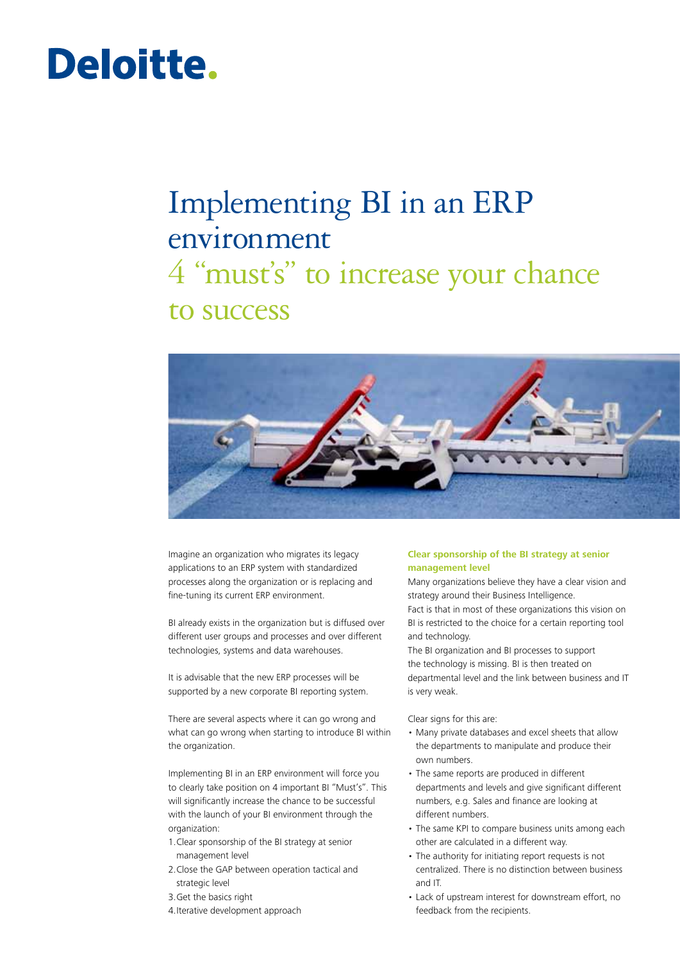# Deloitte.

## Implementing BI in an ERP environment

### 4 "must's" to increase your chance to success



Imagine an organization who migrates its legacy applications to an ERP system with standardized processes along the organization or is replacing and fine-tuning its current ERP environment.

BI already exists in the organization but is diffused over different user groups and processes and over different technologies, systems and data warehouses.

It is advisable that the new ERP processes will be supported by a new corporate BI reporting system.

There are several aspects where it can go wrong and what can go wrong when starting to introduce BI within the organization.

Implementing BI in an ERP environment will force you to clearly take position on 4 important BI "Must's". This will significantly increase the chance to be successful with the launch of your BI environment through the organization:

- 1.Clear sponsorship of the BI strategy at senior management level
- 2.Close the GAP between operation tactical and strategic level
- 3.Get the basics right
- 4.Iterative development approach

#### **Clear sponsorship of the BI strategy at senior management level**

Many organizations believe they have a clear vision and strategy around their Business Intelligence. Fact is that in most of these organizations this vision on BI is restricted to the choice for a certain reporting tool and technology.

The BI organization and BI processes to support the technology is missing. BI is then treated on departmental level and the link between business and IT is very weak.

Clear signs for this are:

- Many private databases and excel sheets that allow the departments to manipulate and produce their own numbers.
- The same reports are produced in different departments and levels and give significant different numbers, e.g. Sales and finance are looking at different numbers.
- The same KPI to compare business units among each other are calculated in a different way.
- The authority for initiating report requests is not centralized. There is no distinction between business and IT.
- Lack of upstream interest for downstream effort, no feedback from the recipients.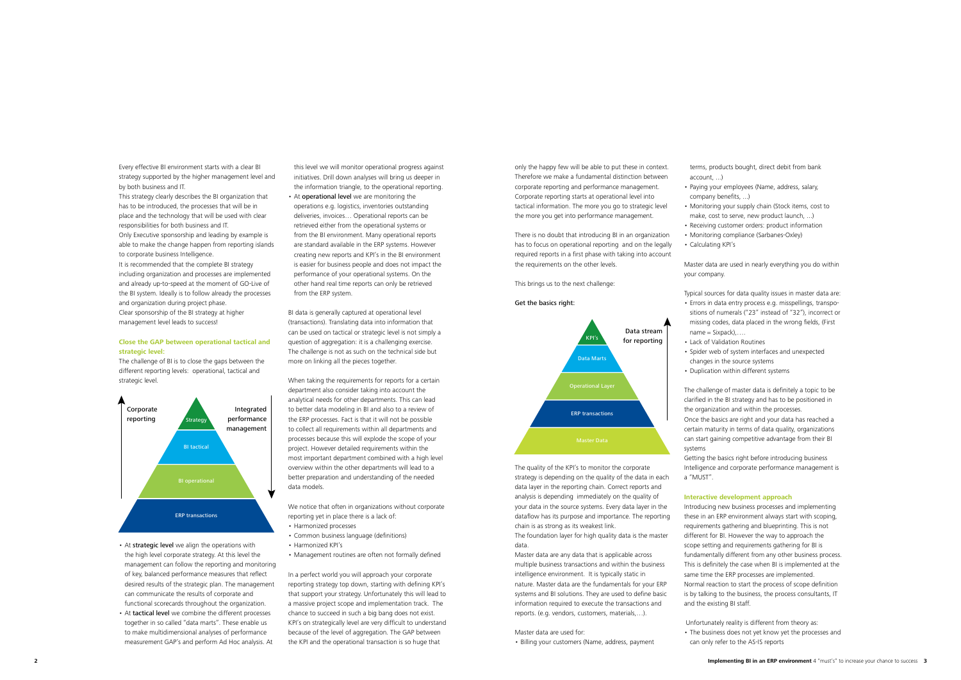Every effective BI environment starts with a clear BI strategy supported by the higher management level and by both business and IT.

This strategy clearly describes the BI organization that has to be introduced, the processes that will be in place and the technology that will be used with clear responsibilities for both business and IT. Only Executive sponsorship and leading by example is able to make the change happen from reporting islands to corporate business Intelligence.

It is recommended that the complete BI strategy including organization and processes are implemented and already up-to-speed at the moment of GO-Live of the BI system. Ideally is to follow already the processes and organization during project phase. Clear sponsorship of the BI strategy at higher management level leads to success!

- At strategic level we align the operations with the high level corporate strategy. At this level the management can follow the reporting and monitoring of key, balanced performance measures that reflect desired results of the strategic plan. The management can communicate the results of corporate and functional scorecards throughout the organization.
- At tactical level we combine the different processes together in so called "data marts". These enable us to make multidimensional analyses of performance measurement GAP's and perform Ad Hoc analysis. At

#### **Close the GAP between operational tactical and strategic level:**

The challenge of BI is to close the gaps between the different reporting levels: operational, tactical and strategic level.

• At operational level we are monitoring the operations e.g. logistics, inventories outstanding deliveries, invoices… Operational reports can be retrieved either from the operational systems or from the BI environment. Many operational reports are standard available in the ERP systems. However creating new reports and KPI's in the BI environment is easier for business people and does not impact the performance of your operational systems. On the other hand real time reports can only be retrieved from the ERP system.

- • Harmonized processes
- • Common business language (definitions)
- Harmonized KPI's
- Management routines are often not formally defined

this level we will monitor operational progress against initiatives. Drill down analyses will bring us deeper in the information triangle, to the operational reporting.

BI data is generally captured at operational level (transactions). Translating data into information that can be used on tactical or strategic level is not simply a question of aggregation: it is a challenging exercise. The challenge is not as such on the technical side but more on linking all the pieces together.

- Paying your employees (Name, address, salary, company benefits, ...)
- 

- Monitoring your supply chain (Stock items, cost to
- make, cost to serve, new product launch, ...)
- Receiving customer orders: product information
- Monitoring compliance (Sarbanes-Oxley)
- • Calculating KPI's

- your company.  $name = Sixpack)$ ,... • Lack of Validation Routines
- 
- 
- Typical sources for data quality issues in master data are: • Errors in data entry process e.g. misspellings, transpositions of numerals ("23" instead of "32"), incorrect or missing codes, data placed in the wrong fields, (First
	-
- Spider web of system interfaces and unexpected
- changes in the source systems
- Duplication within different systems

When taking the requirements for reports for a certain department also consider taking into account the analytical needs for other departments. This can lead to better data modeling in BI and also to a review of the ERP processes. Fact is that it will not be possible to collect all requirements within all departments and processes because this will explode the scope of your project. However detailed requirements within the most important department combined with a high level overview within the other departments will lead to a better preparation and understanding of the needed data models.

We notice that often in organizations without corporate reporting yet in place there is a lack of:

In a perfect world you will approach your corporate reporting strategy top down, starting with defining KPI's that support your strategy. Unfortunately this will lead to a massive project scope and implementation track. The chance to succeed in such a big bang does not exist. KPI's on strategically level are very difficult to understand because of the level of aggregation. The GAP between the KPI and the operational transaction is so huge that



only the happy few will be able to put these in context. Therefore we make a fundamental distinction between corporate reporting and performance management. Corporate reporting starts at operational level into tactical information. The more you go to strategic level the more you get into performance management.

There is no doubt that introducing BI in an organization has to focus on operational reporting and on the legally required reports in a first phase with taking into account the requirements on the other levels.

This brings us to the next challenge:

#### Get the basics right:

The quality of the KPI's to monitor the corporate strategy is depending on the quality of the data in each data layer in the reporting chain. Correct reports and analysis is depending immediately on the quality of your data in the source systems. Every data layer in the dataflow has its purpose and importance. The reporting chain is as strong as its weakest link. The foundation layer for high quality data is the master

data.

Master data are any data that is applicable across multiple business transactions and within the business intelligence environment. It is typically static in nature. Master data are the fundamentals for your ERP systems and BI solutions. They are used to define basic information required to execute the transactions and reports. (e.g. vendors, customers, materials,…).

Master data are used for:

• Billing your customers (Name, address, payment

terms, products bought, direct debit from bank

account, ...)

Master data are used in nearly everything you do within

The challenge of master data is definitely a topic to be clarified in the BI strategy and has to be positioned in the organization and within the processes.

Once the basics are right and your data has reached a certain maturity in terms of data quality, organizations can start gaining competitive advantage from their BI

Getting the basics right before introducing business Intelligence and corporate performance management is

systems a "MUST".

#### **Interactive development approach**

Introducing new business processes and implementing these in an ERP environment always start with scoping, requirements gathering and blueprinting. This is not different for BI. However the way to approach the scope setting and requirements gathering for BI is fundamentally different from any other business process. This is definitely the case when BI is implemented at the same time the ERP processes are implemented. Normal reaction to start the process of scope definition is by talking to the business, the process consultants, IT and the existing BI staff.

 Unfortunately reality is different from theory as: • The business does not yet know yet the processes and can only refer to the AS-IS reports

- 
-